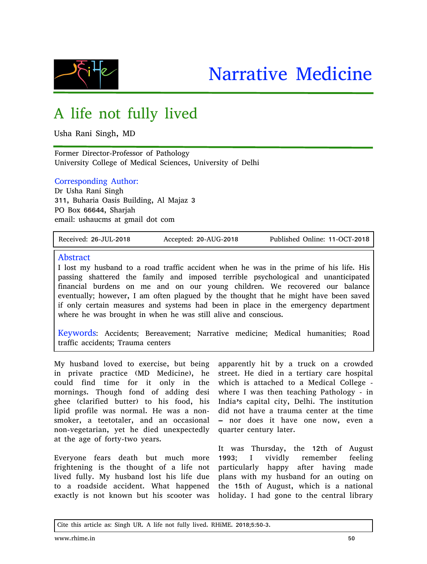



# A life not fully lived

Usha Rani Singh, MD

Former Director-Professor of Pathology University College of Medical Sciences, University of Delhi

### Corresponding Author:

Dr Usha Rani Singh 311, Buharia Oasis Building, Al Majaz 3 PO Box 66644, Sharjah email: ushaucms at gmail dot com

Received: 26-JUL-2018 Accepted: 20-AUG-2018 Published Online: 11-OCT-2018

#### Abstract

I lost my husband to a road traffic accident when he was in the prime of his life. His passing shattered the family and imposed terrible psychological and unanticipated financial burdens on me and on our young children. We recovered our balance eventually; however, I am often plagued by the thought that he might have been saved if only certain measures and systems had been in place in the emergency department where he was brought in when he was still alive and conscious.

Keywords: Accidents; Bereavement; Narrative medicine; Medical humanities; Road traffic accidents; Trauma centers

My husband loved to exercise, but being in private practice (MD Medicine), he could find time for it only in the mornings. Though fond of adding desi ghee (clarified butter) to his food, his lipid profile was normal. He was a nonsmoker, a teetotaler, and an occasional non-vegetarian, yet he died unexpectedly at the age of forty-two years.

Everyone fears death but much more frightening is the thought of a life not lived fully. My husband lost his life due to a roadside accident. What happened exactly is not known but his scooter was

apparently hit by a truck on a crowded street. He died in a tertiary care hospital which is attached to a Medical College where I was then teaching Pathology - in India's capital city, Delhi. The institution did not have a trauma center at the time – nor does it have one now, even a quarter century later.

It was Thursday, the 12th of August 1993; I vividly remember feeling particularly happy after having made plans with my husband for an outing on the 15th of August, which is a national holiday. I had gone to the central library

Cite this article as: Singh UR. A life not fully lived. RHiME. 2018;5:50-3.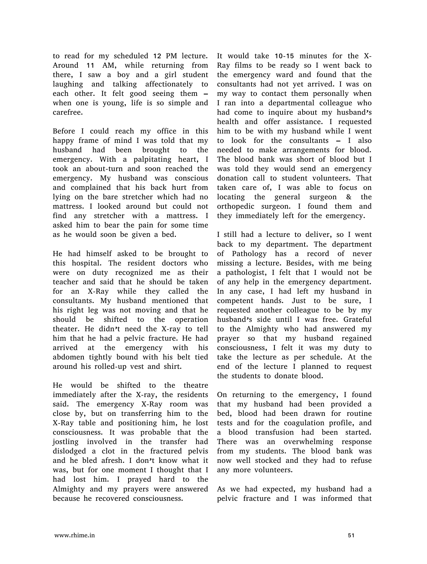to read for my scheduled 12 PM lecture. Around 11 AM, while returning from there, I saw a boy and a girl student laughing and talking affectionately to each other. It felt good seeing them – when one is young, life is so simple and carefree.

Before I could reach my office in this happy frame of mind I was told that my husband had been brought to the emergency. With a palpitating heart, I took an about-turn and soon reached the emergency. My husband was conscious and complained that his back hurt from lying on the bare stretcher which had no mattress. I looked around but could not find any stretcher with a mattress. I asked him to bear the pain for some time as he would soon be given a bed.

He had himself asked to be brought to this hospital. The resident doctors who were on duty recognized me as their teacher and said that he should be taken for an X-Ray while they called the consultants. My husband mentioned that his right leg was not moving and that he should be shifted to the operation theater. He didn't need the X-ray to tell him that he had a pelvic fracture. He had arrived at the emergency with his abdomen tightly bound with his belt tied around his rolled-up vest and shirt.

He would be shifted to the theatre immediately after the X-ray, the residents said. The emergency X-Ray room was close by, but on transferring him to the X-Ray table and positioning him, he lost consciousness. It was probable that the jostling involved in the transfer had dislodged a clot in the fractured pelvis and he bled afresh. I don't know what it was, but for one moment I thought that I had lost him. I prayed hard to the Almighty and my prayers were answered because he recovered consciousness.

It would take 10-15 minutes for the X-Ray films to be ready so I went back to the emergency ward and found that the consultants had not yet arrived. I was on my way to contact them personally when I ran into a departmental colleague who had come to inquire about my husband's health and offer assistance. I requested him to be with my husband while I went to look for the consultants – I also needed to make arrangements for blood. The blood bank was short of blood but I was told they would send an emergency donation call to student volunteers. That taken care of, I was able to focus on locating the general surgeon & the orthopedic surgeon. I found them and they immediately left for the emergency.

I still had a lecture to deliver, so I went back to my department. The department of Pathology has a record of never missing a lecture. Besides, with me being a pathologist, I felt that I would not be of any help in the emergency department. In any case, I had left my husband in competent hands. Just to be sure, I requested another colleague to be by my husband's side until I was free. Grateful to the Almighty who had answered my prayer so that my husband regained consciousness, I felt it was my duty to take the lecture as per schedule. At the end of the lecture I planned to request the students to donate blood.

On returning to the emergency, I found that my husband had been provided a bed, blood had been drawn for routine tests and for the coagulation profile, and a blood transfusion had been started. There was an overwhelming response from my students. The blood bank was now well stocked and they had to refuse any more volunteers.

As we had expected, my husband had a pelvic fracture and I was informed that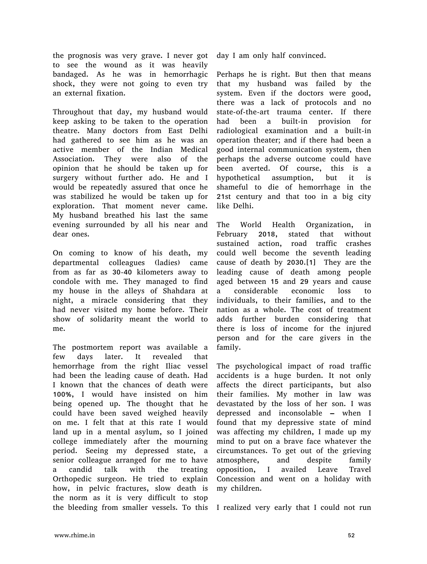the prognosis was very grave. I never got to see the wound as it was heavily bandaged. As he was in hemorrhagic shock, they were not going to even try an external fixation.

Throughout that day, my husband would keep asking to be taken to the operation theatre. Many doctors from East Delhi had gathered to see him as he was an active member of the Indian Medical Association. They were also of the opinion that he should be taken up for surgery without further ado. He and I would be repeatedly assured that once he was stabilized he would be taken up for exploration. That moment never came. My husband breathed his last the same evening surrounded by all his near and dear ones.

On coming to know of his death, my departmental colleagues (ladies) came from as far as 30-40 kilometers away to condole with me. They managed to find my house in the alleys of Shahdara at night, a miracle considering that they had never visited my home before. Their show of solidarity meant the world to me.

The postmortem report was available a few days later. It revealed that hemorrhage from the right Iliac vessel had been the leading cause of death. Had I known that the chances of death were 100%, I would have insisted on him being opened up. The thought that he could have been saved weighed heavily on me. I felt that at this rate I would land up in a mental asylum, so I joined college immediately after the mourning period. Seeing my depressed state, a senior colleague arranged for me to have a candid talk with the treating Orthopedic surgeon. He tried to explain how, in pelvic fractures, slow death is the norm as it is very difficult to stop the bleeding from smaller vessels. To this I realized very early that I could not run

day I am only half convinced.

Perhaps he is right. But then that means that my husband was failed by the system. Even if the doctors were good, there was a lack of protocols and no state-of-the-art trauma center. If there had been a built-in provision for radiological examination and a built-in operation theater; and if there had been a good internal communication system, then perhaps the adverse outcome could have been averted. Of course, this is a hypothetical assumption, but it is shameful to die of hemorrhage in the 21st century and that too in a big city like Delhi.

The World Health Organization, in February 2018, stated that without sustained action, road traffic crashes could well become the seventh leading cause of death by 2030.[1] They are the leading cause of death among people aged between 15 and 29 years and cause a considerable economic loss to individuals, to their families, and to the nation as a whole. The cost of treatment adds further burden considering that there is loss of income for the injured person and for the care givers in the family.

The psychological impact of road traffic accidents is a huge burden. It not only affects the direct participants, but also their families. My mother in law was devastated by the loss of her son. I was depressed and inconsolable – when I found that my depressive state of mind was affecting my children, I made up my mind to put on a brave face whatever the circumstances. To get out of the grieving atmosphere, and despite family opposition, I availed Leave Travel Concession and went on a holiday with my children.